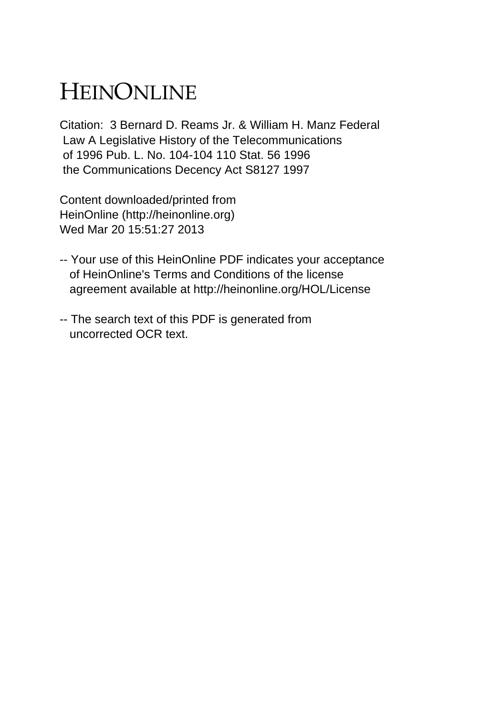## HEINONLINE

Citation: 3 Bernard D. Reams Jr. & William H. Manz Federal Law A Legislative History of the Telecommunications of 1996 Pub. L. No. 104-104 110 Stat. 56 1996 the Communications Decency Act S8127 1997

Content downloaded/printed from HeinOnline (http://heinonline.org) Wed Mar 20 15:51:27 2013

- -- Your use of this HeinOnline PDF indicates your acceptance of HeinOnline's Terms and Conditions of the license agreement available at http://heinonline.org/HOL/License
- -- The search text of this PDF is generated from uncorrected OCR text.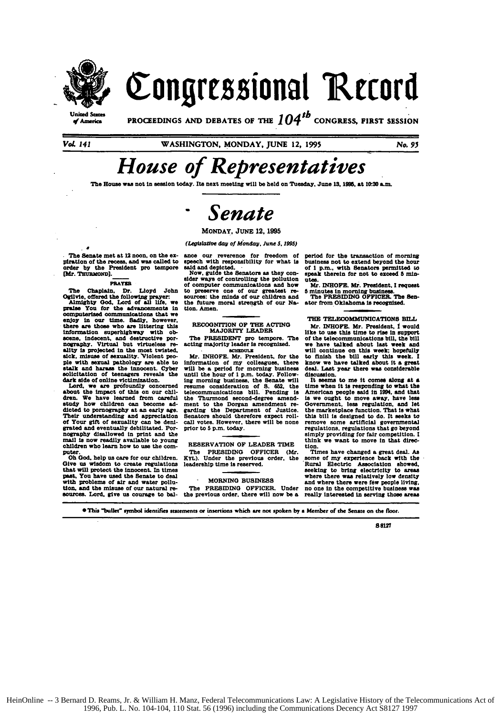

# **\*** ongrtssional Rcord

**United State** 

*4rUICs* **PROCEEDINGS AND DEBATES OF** *T'HiE1 <sup>0</sup> <sup>4</sup>***CONGRESS, FIRST SESSION**

**VoL 141 WASHINGTON, MONDAY, JUNE 12, 1995** *No. 93*

## *House of Representatives*

The House was not in session today. Its next meeting will **be held** on Tuesday, June **13.1996, at 10:30 am.**



**MONDAY, JUNE 12, 1995**

*(Legiolatie day of M'onday, JuneS. 1995)*

The Senate met at 12 noon, on the expiration of the recess, and **was** called to order **by** the President pro tempore (Mr. **THmMOND).**

### **PRAYER**

The Chaplain, Dr. Lloyd John Ogilvie, offred the following prayer:<br>Almighty God, Lord of all life, we praise You for the detancements in<br>computerised communications that we endpoint in our time. Sadly, however,<br>there are t scene, indecent, and destructive por-<br>nography. Virtual but virtueless reality is projected in the most twisted, side, missue of sexuality. Violent polyonic ple with sexual pathology are able to stalk and harass the innocent. Cyber solicitation of teenagers reveals the dark aide of online victi

Lord, we are profoundly concerned about the impact of this on our children. We have learned from careful<br>study how children can become ad-<br>dicted to pornography at an early age.<br>Their understanding and appreciation **of** Your **gift** of sexuality can be deni- grated and eventually debilitated. Por- nography disallowed In print and the mail **is** now readily available to young nography disallowed in print and the<br>mail is now readily available to young ohildren who learn how to use the com-<br>puter. Oh God, help us care for our children.

Oh God. help us care for our children.<br>Give us wisdom to create regulations<br>that will protect the innocent. In times<br>past. You have used the Senate to deal<br>with problems of air and water pollution, and the misuse of our natural resources. Lord. give us courage to bal-

**ance** our reverence for freedom of speech with responsibility for what is<br>said and depicted.<br>Now, guide the Senators as they con-

**said** and depicted. Now, guide the Senators as they con- sider ways of controlling the pollution of computer communications and how to preserve one of our greatest re- sources: the minds of our children and the future moral strength of our Na**tion.** Amen.

## **RECOGNITION OF** THE **ACTING MAJORITY** LEADER

The PRESIDENT pro tempore. **The** acting majority leader **Is** recognized.

Mr. **INHOFE.** Mr. President, for the information of my colleagues, there will be a period for morning business until the hour of **1** p.m. today. Follow-**ing** morning business, the Senate will resume consideration of **S. 652.** the telecommunications bill. Pending **is** the Thurmond second-degree amend-<br>ment to the Dorgan amendment re-<br>garding the Department of Justice.<br>Senators should therefore expect rollcall votes. However, there will be none prior to **5** p.m. today.

### RESERVATION **OF** LEADER TIME

The PRESIDING OFFICER (Mr. **KYL).** Under the previous order, the leadership time is reserved.

## MORNING BUSINESS

The PRESIDING OFFICER. Under the previous order, there will now be **a**

period for the transaction of morning business not to extend **beyond** the hour of **1** p.m., with Senators permitted **to** speak therein for not to **exceed 5** minutes. Mr. INHOFE. Mr. President. **I** request

**<sup>5</sup>**minutes in morning business. The PRESIDING **OFFICER,** The Sen- ator from Oklahoma **is** recognized.

**THE TELECOMMUNICATIONS BIL Mr. INHOFE. Mr.** President, **I** would like to use this time to **rise** in **support** of the telecommunications bill, the **bill** we have talked about last week and will continue on this week; hopefully to finish the bill early this week. I know we have talked about it a great deal. Last year there was considerable deal. Last year there was considerable<br>discussion.<br>It seems to me it comes along at a

time when it is responding to what the American people said in 1994, and that is we ought to move away, have less<br>Government, less regulation, and let the marketplace function. That is what this bill is designed to do. It seeks to remove some artificial governmental regulations, regulations that **go** beyond **simply** providing for fair competition. **I** think we want to move in that direction.

Times have changed a great deal. **As** some of my experience back with the Rural Electric Association showed, seeking to bring electricity to areas where there was relatively low density and where there were few people living, no one in the competitive business was really interested in serving those **areas**

\* This "bullet" symbol identifies statements or insertions which are not spoken by a Member of the Senate on the floor.

**Selz**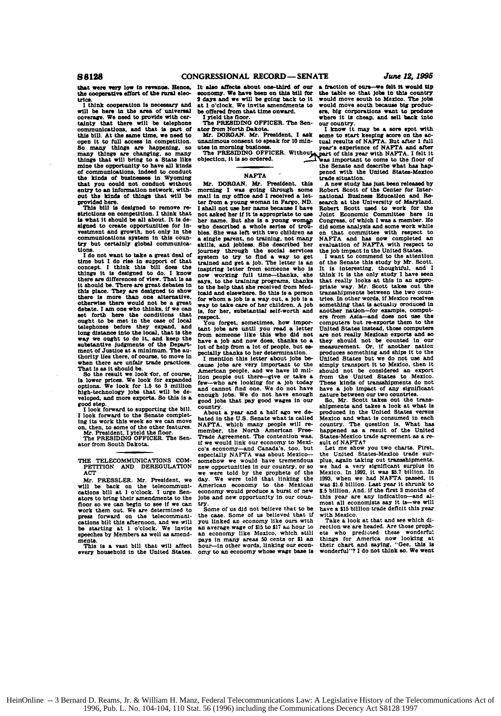thast were Y07 **low** in **revenue. Hence.** the cooperative effort of the rural **eleo**trice.

**I** think cooperation **is** neceesary and will **be** here in the area of univeral coverage. We need to provide with cer-tainty **that there** will **be** telephone communications, and that is part of this bill. At the same time, we need to open it to full access in competition. **So** many things are happening, so many things **are** changing, so many things that will bring to a State like mine the opportunity to have **all** kinds **of** communications. indeed to conduct the kinds of businesses In Wyoming that you could not conduct without entry to **an** information network, with-out the kinds of things that will be provided here.<br>This bill is designed to remove

strictions on competition. I think that is what it should be **all** about. It is designed to create opportunities for In-vestment and growth, not only in the communications system in this **country** but certainly global communications.

**I** do not want to take a great deal of time but **I** do rise in support of that concept. **I** think this bill does the things it is designed to do. **I** know there **are** differences of view. That is as it should **be.** There **are** great debates in this place. They are designed to show there is more than one alternative, otherwise **there** would not be a great debate. I am one who thinks, **If** we can set forth here the conditions that ought to be met In the case **of** local telephones before they expand, and long distance into the **local,** that is the way we ought to do it, and keep the substantive judgments of the Department of Justice at **a** minimum. The auwhen there are unfair trade practices.<br>That is as it should be.

That **Is as It** should **be.** So the result we look for. of course. **Is** lower prices. We look for expanded options. We look for **1.5** to **3** million high-technology **jobs** that will be developed, and more exports. So this is **a**

I look forward to supporting the bill. **I** look forward to the Senate complet-ing its work this week so we can move

on. then. to some of the other features.<br>Mr. President. **I** yield the floor.<br>The PRESIDING OFFICER. The Sen-<br>tor from South Dakota.

THE **TELECOMMUNICATIONS COM-PETITION AND DEREGULATION ACT**

Mr. PRESSLER. Mr. President, we will be back on the telecommuni-cations **bill** at **1** o'clock. **I** urge Senstore to bring their amendments to the floor so we **can** begin to see **if** we **can** work them out. We **are** determined to press forward on the telecommunications **bill** this afternoon, and we will **be** starting at **1** o'clock. We Invite speeches **by** Members as well as amendments.

This Is **a** vast bill that will affect every household in the United States.

It also affects about one-third of our a fraction of ours-we felt it would tip<br>conomy. We have been on this bill for the table so that jobs in this country<br>2 days and we will be going back to it would move south to Merico. economy. We have *been* on this bill **for the** table so that **jobs** in this country 2 **days and** we will be going back to It would move south to Mexico. The jobs at 1 o'clock. We invite amendments to would move south because big pro<br>be offered from that time onward. era, big corporations want to prod

Mr. DORGAN. Mr. President, this **A** new study has just been released by<br>corning I was going through some Robert Scott of the Center for Intermorning I was going through some mail in my office and I received a let**ter** from *a* young woman In Fargo, **ND.** search at the University of Maryland. **<sup>I</sup>**shall not use her name because **I** have Robert Scott used to work for the on a sked her if it is appropriate to use Joint Economic Committee here in the Indian not use here in the space Joint Economic Committee here in the her name. But ahe is a voung woman Congress, of which I was a member. Her who described **a** whole series **of trou- did** some analysis and some work while **bles.** She was left with two children as on that committee with respect to a single parent, no training, not many **NAFTA** and has now completed an skills, and jobless. She described her evaluation of **NAPrA** with respect to Journey through the social services the **job** impact **in** the United States. system to try to find **a** way to get **I** want to commend to the attention same, and yourselves the social services the job impact in the United States.<br>system to try to find a way to get I want to commend to the attention<br>trained and get a job. The letter is an of the Senate this study by Mr. Sc inspiring letter from someone who is It is interesting, thoughtful, and I<br>now working full time—thanks, she think it is the only study I have seen<br>says, to the training programs, thanks that really looks at this in an appr for whom a job is a way out, a job is a person transshipments between the two countries. In other words, if *Mexico* receives  $\alpha$  is a tries. In other words, if *Mexico* receives we to take care of her children. A job is way to take care of her children. A job is for her, substantial self-worth and

and jobs are until you read a letter United States instead, those computers that jobs are until you read a letter United States instead, those computers and so that who did not are not really Mexican exports and someone li

cause **Jobs** are very Important to the simply transport it to Mexico, then It American people, **and** we have **10** mil- should not be considered an export frequences for the section of the section people out there—give or take a and cannot find one. We do not have have a **job** impact of **any** significant enough jobs. We do not have enough nature between our two countries. good jobs. We do not have have a job impact of any significant<br>enough jobs. We do not have enough nature between our two countries.<br>good jobs that pay good wages in our So, Mr. Scott takes out the trans-<br>country.

bated in the **U.S.** Senate what is called NAFTA, which many people will remember, the North American Free-NAFTA, which many people will re- country. The question is, What has member, the North American Free- happened as a result of the United Trade Agreement. The contention was. States-Mexico trade agreement as a re**if the contention was.** States-Mexico trade agreement as a re-<br>if we would link our economy to Mexi- sult of NAFTA?<br> $\alpha$ <sup>2</sup> seconomy-sult Canada's too, but. Let me show you two charts. First, co's economy-and Canada's, too, but especially NAFTA was about Mexicoespecially NAFTA was about Mexico- the United States-Mexico trade sur-<br>somehow we would have tremendous plus, again taking out transshipments. somehow we would have tremendous plus, again taking out transshipments,<br>new opportunities in our country, or so we had a very significant surplus in<br>we were told by the prophets of the Mexico. In 1992, it was \$5.7 billion. day. We were told that linking the American economy to the Mexican economy would produce a burst of new day. We were yould produce a burst of new \$5.6 billion. Last year it shrunk to economy would produce a burst of new \$5.8 billion. And, if the first 3 months of 10bs and new opportunity in our coun-this year are any indicat

the case. Some of us believed that if with Mexico.<br>you linked an economy like ours with Take a look at that and see which di-<br>an avernes wase of \$15 to \$17 ad hour to rection we are headed. Are those prophan average wage of \$15 to \$17 an hour to an economy like Mexico, which still an economy like Mexico, which still **ets** who predicted these wonderful pays in many areas 50 cents or \$1 an hour-in other words, linking our econbour-In other words, linking our econ- their chart and saying, **"Gee.** this is omy to an economy whose wage **base** is wonderful"? I do not think so. We went

**bers**, big corporations want to produce where it is cheap, and sell back into **I yield** the floor, where it is cheap, and **sell** back into The PRESIDING OFFICER. The SBn- our country.

stor from North Dakota.<br>Mr. President, I ask some to start keeping score on the ac-<br>unanimous consent to speak for 10 min-<br>unanimous consent to speak for 10 min-<br>unal results of NAFTA. But after 1 full utes in morning business.<br>The PRESIDING OFFICER. Without part of this year with NAFTA, I felt it<br>objection, it is so ordered.<br>the Senate and describe what has happen the Senate and describe what has happen

pened with the United States-Mexico NAFTA pencu with the chilose-meanor<br>N. Mr. President, this A new study has just been released by

mational Business Education and Research at the University of Maryland. Fourth Economic Commissee mass in Congress, of which I was a member. He<br>did some analysis and some work while

**IS.** for her. substantial self-worth and another nation-for example, computers computers but in the self from Asia-and does not use the<br>You forget. sometimes, how impor- computers but re-exporte them to the have a job and now does, thanks to a they should not be counted in our lot of help from a lot of people, but es- measurement. Or, if another nation pecially thanks to her determination. produces something and ships it to t pecially thanks to her determination. produces something and ships it to the **I**mention this letter about jobs be- United States but we do not use and simply transport it to Mexico, then it should not be considered an export from the United States to Mexico.<br>These kinds of transabipments do not

but you have been allowed to the shipments and takes a look at what is about a year and a half ago we de- produced in the United States versus produced in the United States versus<br>Mexico and what is consumed in each

this year are any indication--and al-<br>most all economists say it is we will try. most **all** economists say it Is-we will Some of us **did** not believe that to be have **a \$15** billion trade deficit this year the case. Some of us believed that **If** with Mexico.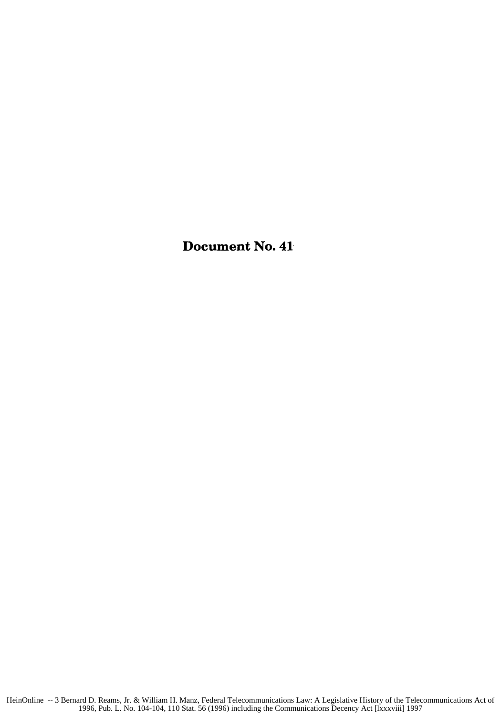Document No. 41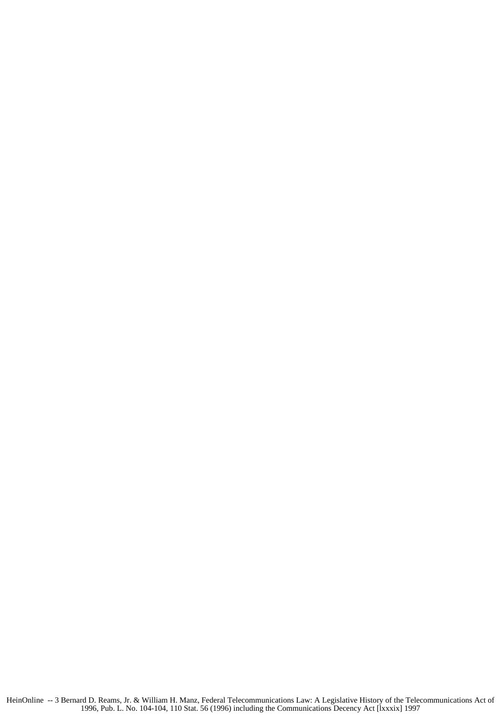HeinOnline -- 3 Bernard D. Reams, Jr. & William H. Manz, Federal Telecommunications Law: A Legislative History of the Telecommunications Act of 1996, Pub. L. No. 104-104, 110 Stat. 56 (1996) including the Communications Decency Act [lxxxix] 1997